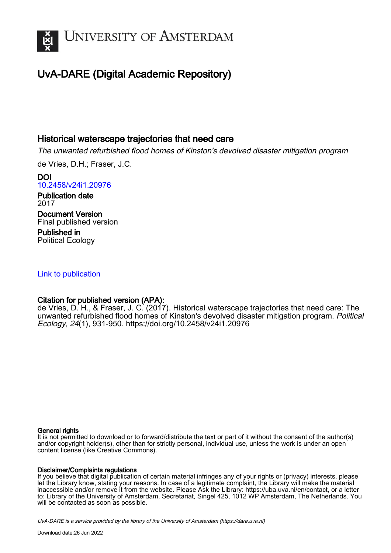

# UvA-DARE (Digital Academic Repository)

# Historical waterscape trajectories that need care

The unwanted refurbished flood homes of Kinston's devolved disaster mitigation program

de Vries, D.H.; Fraser, J.C.

DOI [10.2458/v24i1.20976](https://doi.org/10.2458/v24i1.20976)

Publication date 2017 Document Version Final published version Published in

Political Ecology

## [Link to publication](https://dare.uva.nl/personal/pure/en/publications/historical-waterscape-trajectories-that-need-care(03c9e7e9-477f-41ab-ab5f-35311c31e121).html)

# Citation for published version (APA):

de Vries, D. H., & Fraser, J. C. (2017). Historical waterscape trajectories that need care: The unwanted refurbished flood homes of Kinston's devolved disaster mitigation program. Political Ecology, 24(1), 931-950. <https://doi.org/10.2458/v24i1.20976>

#### General rights

It is not permitted to download or to forward/distribute the text or part of it without the consent of the author(s) and/or copyright holder(s), other than for strictly personal, individual use, unless the work is under an open content license (like Creative Commons).

#### Disclaimer/Complaints regulations

If you believe that digital publication of certain material infringes any of your rights or (privacy) interests, please let the Library know, stating your reasons. In case of a legitimate complaint, the Library will make the material inaccessible and/or remove it from the website. Please Ask the Library: https://uba.uva.nl/en/contact, or a letter to: Library of the University of Amsterdam, Secretariat, Singel 425, 1012 WP Amsterdam, The Netherlands. You will be contacted as soon as possible.

UvA-DARE is a service provided by the library of the University of Amsterdam (http*s*://dare.uva.nl)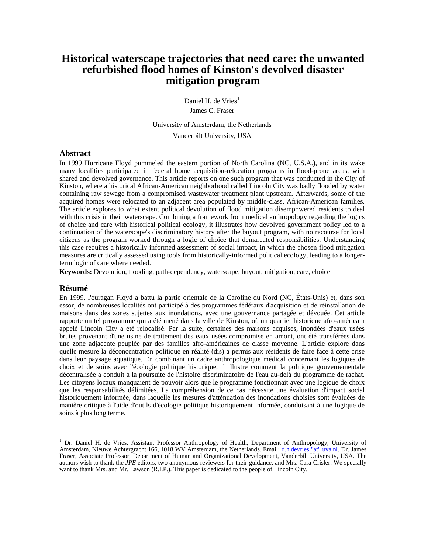# **Historical waterscape trajectories that need care: the unwanted refurbished flood homes of Kinston's devolved disaster mitigation program**

Daniel H. de Vries<sup>[1](#page-1-0)</sup>

James C. Fraser

University of Amsterdam, the Netherlands

Vanderbilt University, USA

#### **Abstract**

In 1999 Hurricane Floyd pummeled the eastern portion of North Carolina (NC, U.S.A.), and in its wake many localities participated in federal home acquisition-relocation programs in flood-prone areas, with shared and devolved governance. This article reports on one such program that was conducted in the City of Kinston, where a historical African-American neighborhood called Lincoln City was badly flooded by water containing raw sewage from a compromised wastewater treatment plant upstream. Afterwards, some of the acquired homes were relocated to an adjacent area populated by middle-class, African-American families. The article explores to what extent political devolution of flood mitigation disempowered residents to deal with this crisis in their waterscape. Combining a framework from medical anthropology regarding the logics of choice and care with historical political ecology, it illustrates how devolved government policy led to a continuation of the waterscape's discriminatory history after the buyout program, with no recourse for local citizens as the program worked through a logic of choice that demarcated responsibilities. Understanding this case requires a historically informed assessment of social impact, in which the chosen flood mitigation measures are critically assessed using tools from historically-informed political ecology, leading to a longerterm logic of care where needed.

**Keywords:** Devolution, flooding, path-dependency, waterscape, buyout, mitigation, care, choice

#### **Résumé**

**.** 

En 1999, l'ouragan Floyd a battu la partie orientale de la Caroline du Nord (NC, États-Unis) et, dans son essor, de nombreuses localités ont participé à des programmes fédéraux d'acquisition et de réinstallation de maisons dans des zones sujettes aux inondations, avec une gouvernance partagée et dévouée. Cet article rapporte un tel programme qui a été mené dans la ville de Kinston, où un quartier historique afro-américain appelé Lincoln City a été relocalisé. Par la suite, certaines des maisons acquises, inondées d'eaux usées brutes provenant d'une usine de traitement des eaux usées compromise en amont, ont été transférées dans une zone adjacente peuplée par des familles afro-américaines de classe moyenne. L'article explore dans quelle mesure la déconcentration politique en réalité (dis) a permis aux résidents de faire face à cette crise dans leur paysage aquatique. En combinant un cadre anthropologique médical concernant les logiques de choix et de soins avec l'écologie politique historique, il illustre comment la politique gouvernementale décentralisée a conduit à la poursuite de l'histoire discriminatoire de l'eau au-delà du programme de rachat. Les citoyens locaux manquaient de pouvoir alors que le programme fonctionnait avec une logique de choix que les responsabilités délimitées. La compréhension de ce cas nécessite une évaluation d'impact social historiquement informée, dans laquelle les mesures d'atténuation des inondations choisies sont évaluées de manière critique à l'aide d'outils d'écologie politique historiquement informée, conduisant à une logique de soins à plus long terme.

<span id="page-1-0"></span><sup>&</sup>lt;sup>1</sup> Dr. Daniel H. de Vries, Assistant Professor Anthropology of Health, Department of Anthropology, University of Amsterdam, Nieuwe Achtergracht 166, 1018 WV Amsterdam, the Netherlands. Email: d.h.devries "at" uva.nl. Dr. James Fraser, Associate Professor, Department of Human and Organizational Development, Vanderbilt University, USA. The authors wish to thank the *JPE* editors, two anonymous reviewers for their guidance, and Mrs. Cara Crisler. We specially want to thank Mrs. and Mr. Lawson (R.I.P.). This paper is dedicated to the people of Lincoln City.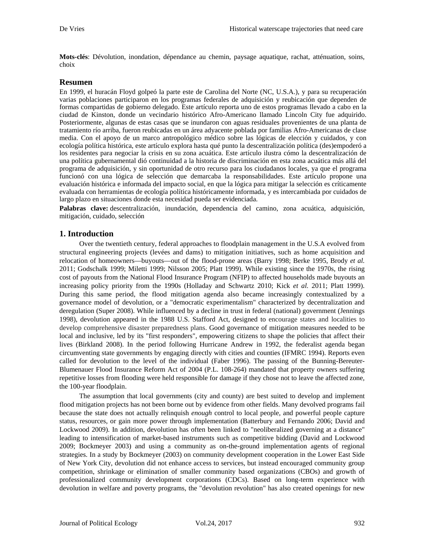**Mots-clés**: Dévolution, inondation, dépendance au chemin, paysage aquatique, rachat, atténuation, soins, choix

#### **Resumen**

En 1999, el huracán Floyd golpeó la parte este de Carolina del Norte (NC, U.S.A.), y para su recuperación varias poblaciones participaron en los programas federales de adquisición y reubicación que dependen de formas compartidas de gobierno delegado. Este artículo reporta uno de estos programas llevado a cabo en la ciudad de Kinston, donde un vecindario histórico Afro-Americano llamado Lincoln City fue adquirido. Posteriormente, algunas de estas casas que se inundaron con aguas residuales provenientes de una planta de tratamiento río arriba, fueron reubicadas en un área adyacente poblada por familias Afro-Americanas de clase media. Con el apoyo de un marco antropológico médico sobre las lógicas de elección y cuidados, y con ecología política histórica, este artículo explora hasta qué punto la descentralización política (des)empoderó a los residentes para negociar la crisis en su zona acuática. Este artículo ilustra cómo la descentralización de una política gubernamental dió continuidad a la historia de discriminación en esta zona acuática más allá del programa de adquisición, y sin oportunidad de otro recurso para los ciudadanos locales, ya que el programa funcionó con una lógica de selección que demarcaba la responsabilidades. Este artículo propone una evaluación histórica e informada del impacto social, en que la lógica para mitigar la selección es críticamente evaluada con herramientas de ecología política históricamente informada, y es intercambiada por cuidados de largo plazo en situaciones donde esta necesidad pueda ser evidenciada.

**Palabras clave:** descentralización, inundación, dependencia del camino, zona acuática, adquisición, mitigación, cuidado, selección

#### **1. Introduction**

Over the twentieth century, federal approaches to floodplain management in the U.S.A evolved from structural engineering projects (levées and dams) to mitigation initiatives, such as home acquisition and relocation of homeowners—buyouts—out of the flood-prone areas (Barry 1998; Berke 1995, Brody *et al.* 2011; Godschalk 1999; Miletti 1999; Nilsson 2005; Platt 1999). While existing since the 1970s, the rising cost of payouts from the National Flood Insurance Program (NFIP) to affected households made buyouts an increasing policy priority from the 1990s (Holladay and Schwartz 2010; Kick *et al.* 2011; Platt 1999). During this same period, the flood mitigation agenda also became increasingly contextualized by a governance model of devolution, or a "democratic experimentalism" characterized by decentralization and deregulation (Super 2008). While influenced by a decline in trust in federal (national) government (Jennings 1998), devolution appeared in the 1988 U.S. Stafford Act, designed to encourage states and localities to develop comprehensive disaster preparedness plans. Good governance of mitigation measures needed to be local and inclusive, led by its "first responders", empowering citizens to shape the policies that affect their lives (Birkland 2008). In the period following Hurricane Andrew in 1992, the federalist agenda began circumventing state governments by engaging directly with cities and counties (IFMRC 1994). Reports even called for devolution to the level of the individual (Faber 1996). The passing of the Bunning-Bereuter-Blumenauer Flood Insurance Reform Act of 2004 (P.L. 108-264) mandated that property owners suffering repetitive losses from flooding were held responsible for damage if they chose not to leave the affected zone, the 100-year floodplain.

The assumption that local governments (city and county) are best suited to develop and implement flood mitigation projects has not been borne out by evidence from other fields. Many devolved programs fail because the state does not actually relinquish *enough* control to local people, and powerful people capture status, resources, or gain more power through implementation (Batterbury and Fernando 2006; David and Lockwood 2009). In addition, devolution has often been linked to "neoliberalized governing at a distance" leading to intensification of market-based instruments such as competitive bidding (David and Lockwood 2009; Bockmeyer 2003) and using a community as on-the-ground implementation agents of regional strategies. In a study by Bockmeyer (2003) on community development cooperation in the Lower East Side of New York City, devolution did not enhance access to services, but instead encouraged community group competition, shrinkage or elimination of smaller community based organizations (CBOs) and growth of professionalized community development corporations (CDCs). Based on long-term experience with devolution in welfare and poverty programs, the "devolution revolution" has also created openings for new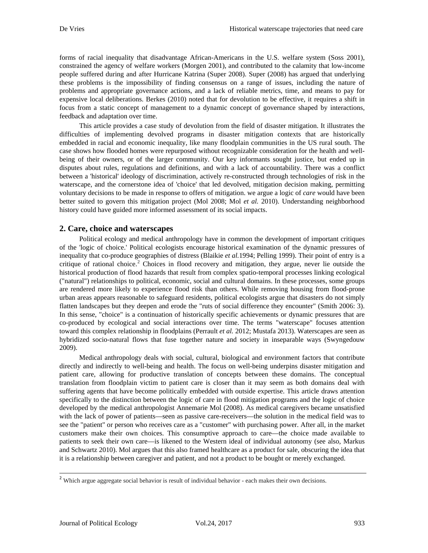forms of racial inequality that disadvantage African-Americans in the U.S. welfare system (Soss 2001), constrained the agency of welfare workers (Morgen 2001), and contributed to the calamity that low-income people suffered during and after Hurricane Katrina (Super 2008). Super (2008) has argued that underlying these problems is the impossibility of finding consensus on a range of issues, including the nature of problems and appropriate governance actions, and a lack of reliable metrics, time, and means to pay for expensive local deliberations. Berkes (2010) noted that for devolution to be effective, it requires a shift in focus from a static concept of management to a dynamic concept of governance shaped by interactions, feedback and adaptation over time.

This article provides a case study of devolution from the field of disaster mitigation. It illustrates the difficulties of implementing devolved programs in disaster mitigation contexts that are historically embedded in racial and economic inequality, like many floodplain communities in the US rural south. The case shows how flooded homes were repurposed without recognizable consideration for the health and wellbeing of their owners, or of the larger community. Our key informants sought justice, but ended up in disputes about rules, regulations and definitions, and with a lack of accountability. There was a conflict between a 'historical' ideology of discrimination, actively re-constructed through technologies of risk in the waterscape, and the cornerstone idea of 'choice' that led devolved, mitigation decision making, permitting voluntary decisions to be made in response to offers of mitigation. we argue a logic of *care* would have been better suited to govern this mitigation project (Mol 2008; Mol *et al.* 2010). Understanding neighborhood history could have guided more informed assessment of its social impacts.

#### **2. Care, choice and waterscapes**

Political ecology and medical anthropology have in common the development of important critiques of the 'logic of choice.' Political ecologists encourage historical examination of the dynamic pressures of inequality that co-produce geographies of distress (Blaikie *et al.*1994; Pelling 1999). Their point of entry is a critique of rational choice. [2](#page-3-0) Choices in flood recovery and mitigation, they argue, never lie outside the historical production of flood hazards that result from complex spatio-temporal processes linking ecological ("natural") relationships to political, economic, social and cultural domains. In these processes, some groups are rendered more likely to experience flood risk than others. While removing housing from flood-prone urban areas appears reasonable to safeguard residents, political ecologists argue that disasters do not simply flatten landscapes but they deepen and erode the "ruts of social difference they encounter" (Smith 2006: 3). In this sense, "choice" is a continuation of historically specific achievements or dynamic pressures that are co-produced by ecological and social interactions over time. The terms "waterscape" focuses attention toward this complex relationship in floodplains (Perrault *et al.* 2012; Mustafa 2013). Waterscapes are seen as hybridized socio-natural flows that fuse together nature and society in inseparable ways (Swyngedouw 2009).

Medical anthropology deals with social, cultural, biological and environment factors that contribute directly and indirectly to well-being and health. The focus on well-being underpins disaster mitigation and patient care, allowing for productive translation of concepts between these domains. The conceptual translation from floodplain victim to patient care is closer than it may seem as both domains deal with suffering agents that have become politically embedded with outside expertise. This article draws attention specifically to the distinction between the logic of care in flood mitigation programs and the logic of choice developed by the medical anthropologist Annemarie Mol (2008). As medical caregivers became unsatisfied with the lack of power of patients—seen as passive care-receivers—the solution in the medical field was to see the "patient" or person who receives care as a "customer" with purchasing power. After all, in the market customers make their own choices. This consumptive approach to care—the choice made available to patients to seek their own care—is likened to the Western ideal of individual autonomy (see also, Markus and Schwartz 2010). Mol argues that this also framed healthcare as a product for sale, obscuring the idea that it is a relationship between caregiver and patient, and not a product to be bought or merely exchanged.

<span id="page-3-0"></span><sup>&</sup>lt;sup>2</sup> Which argue aggregate social behavior is result of individual behavior - each makes their own decisions.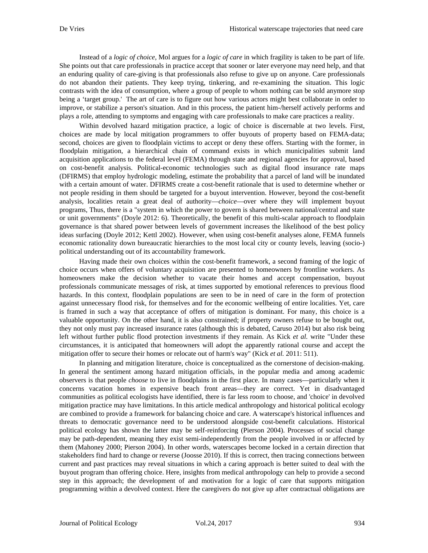Instead of a *logic of choice*, Mol argues for a *logic of care* in which fragility is taken to be part of life. She points out that care professionals in practice accept that sooner or later everyone may need help, and that an enduring quality of care-giving is that professionals also refuse to give up on anyone. Care professionals do not abandon their patients. They keep trying, tinkering, and re-examining the situation. This logic contrasts with the idea of consumption, where a group of people to whom nothing can be sold anymore stop being a 'target group.' The art of care is to figure out how various actors might best collaborate in order to improve, or stabilize a person's situation. And in this process, the patient him-/herself actively performs and plays a role, attending to symptoms and engaging with care professionals to make care practices a reality.

Within devolved hazard mitigation practice, a logic of choice is discernable at two levels. First, choices are made by local mitigation programmers to offer buyouts of property based on FEMA-data; second, choices are given to floodplain victims to accept or deny these offers. Starting with the former, in floodplain mitigation, a hierarchical chain of command exists in which municipalities submit land acquisition applications to the federal level (FEMA) through state and regional agencies for approval, based on cost-benefit analysis. Political-economic technologies such as digital flood insurance rate maps (DFIRMS) that employ hydrologic modeling, estimate the probability that a parcel of land will be inundated with a certain amount of water. DFIRMS create a cost-benefit rationale that is used to determine whether or not people residing in them should be targeted for a buyout intervention. However, beyond the cost-benefit analysis, localities retain a great deal of authority—*choice*—over where they will implement buyout programs, Thus, there is a "system in which the power to govern is shared between national/central and state or unit governments" (Doyle 2012: 6). Theoretically, the benefit of this multi-scalar approach to floodplain governance is that shared power between levels of government increases the likelihood of the best policy ideas surfacing (Doyle 2012; Kettl 2002). However, when using cost-benefit analyses alone, FEMA funnels economic rationality down bureaucratic hierarchies to the most local city or county levels, leaving (socio-) political understanding out of its accountability framework.

Having made their own choices within the cost-benefit framework, a second framing of the logic of choice occurs when offers of voluntary acquisition are presented to homeowners by frontline workers. As homeowners make the decision whether to vacate their homes and accept compensation, buyout professionals communicate messages of risk, at times supported by emotional references to previous flood hazards. In this context, floodplain populations are seen to be in need of care in the form of protection against unnecessary flood risk, for themselves and for the economic wellbeing of entire localities. Yet, care is framed in such a way that acceptance of offers of mitigation is dominant. For many, this choice is a valuable opportunity. On the other hand, it is also constrained; if property owners refuse to be bought out, they not only must pay increased insurance rates (although this is debated, Caruso 2014) but also risk being left without further public flood protection investments if they remain. As Kick *et al.* write "Under these circumstances, it is anticipated that homeowners will adopt the apparently rational course and accept the mitigation offer to secure their homes or relocate out of harm's way" (Kick *et al.* 2011: 511).

In planning and mitigation literature, choice is conceptualized as the cornerstone of decision-making. In general the sentiment among hazard mitigation officials, in the popular media and among academic observers is that people *choose* to live in floodplains in the first place. In many cases—particularly when it concerns vacation homes in expensive beach front areas—they are correct. Yet in disadvantaged communities as political ecologists have identified, there is far less room to choose, and 'choice' in devolved mitigation practice may have limitations. In this article medical anthropology and historical political ecology are combined to provide a framework for balancing choice and care. A waterscape's historical influences and threats to democratic governance need to be understood alongside cost-benefit calculations. Historical political ecology has shown the latter may be self-reinforcing (Pierson 2004). Processes of social change may be path-dependent, meaning they exist semi-independently from the people involved in or affected by them (Mahoney 2000; Pierson 2004). In other words, waterscapes become locked in a certain direction that stakeholders find hard to change or reverse (Joosse 2010). If this is correct, then tracing connections between current and past practices may reveal situations in which a caring approach is better suited to deal with the buyout program than offering choice. Here, insights from medical anthropology can help to provide a second step in this approach; the development of and motivation for a logic of care that supports mitigation programming within a devolved context. Here the caregivers do not give up after contractual obligations are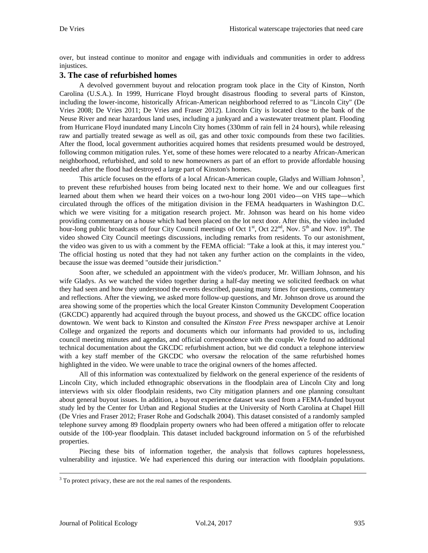over, but instead continue to monitor and engage with individuals and communities in order to address injustices.

#### **3. The case of refurbished homes**

A devolved government buyout and relocation program took place in the City of Kinston, North Carolina (U.S.A.). In 1999, Hurricane Floyd brought disastrous flooding to several parts of Kinston, including the lower-income, historically African-American neighborhood referred to as "Lincoln City" (De Vries 2008; De Vries 2011; De Vries and Fraser 2012). Lincoln City is located close to the bank of the Neuse River and near hazardous land uses, including a junkyard and a wastewater treatment plant. Flooding from Hurricane Floyd inundated many Lincoln City homes (330mm of rain fell in 24 hours), while releasing raw and partially treated sewage as well as oil, gas and other toxic compounds from these two facilities. After the flood, local government authorities acquired homes that residents presumed would be destroyed, following common mitigation rules. Yet, some of these homes were relocated to a nearby African-American neighborhood, refurbished, and sold to new homeowners as part of an effort to provide affordable housing needed after the flood had destroyed a large part of Kinston's homes.

This article focuses on the efforts of a local African-American couple, Gladys and William Johnson<sup>[3](#page-5-0)</sup>, to prevent these refurbished houses from being located next to their home. We and our colleagues first learned about them when we heard their voices on a two-hour long 2001 video—on VHS tape—which circulated through the offices of the mitigation division in the FEMA headquarters in Washington D.C. which we were visiting for a mitigation research project. Mr. Johnson was heard on his home video providing commentary on a house which had been placed on the lot next door. After this, the video included hour-long public broadcasts of four City Council meetings of Oct 1<sup>st</sup>, Oct 22<sup>nd</sup>, Nov. 5<sup>th</sup> and Nov. 19<sup>th</sup>. The video showed City Council meetings discussions, including remarks from residents. To our astonishment, the video was given to us with a comment by the FEMA official: "Take a look at this, it may interest you." The official hosting us noted that they had not taken any further action on the complaints in the video, because the issue was deemed "outside their jurisdiction."

Soon after, we scheduled an appointment with the video's producer, Mr. William Johnson, and his wife Gladys. As we watched the video together during a half-day meeting we solicited feedback on what they had seen and how they understood the events described, pausing many times for questions, commentary and reflections. After the viewing, we asked more follow-up questions, and Mr. Johnson drove us around the area showing some of the properties which the local Greater Kinston Community Development Cooperation (GKCDC) apparently had acquired through the buyout process, and showed us the GKCDC office location downtown. We went back to Kinston and consulted the *Kinston Free Press* newspaper archive at Lenoir College and organized the reports and documents which our informants had provided to us, including council meeting minutes and agendas, and official correspondence with the couple. We found no additional technical documentation about the GKCDC refurbishment action, but we did conduct a telephone interview with a key staff member of the GKCDC who oversaw the relocation of the same refurbished homes highlighted in the video. We were unable to trace the original owners of the homes affected.

All of this information was contextualized by fieldwork on the general experience of the residents of Lincoln City, which included ethnographic observations in the floodplain area of Lincoln City and long interviews with six older floodplain residents, two City mitigation planners and one planning consultant about general buyout issues. In addition, a buyout experience dataset was used from a FEMA-funded buyout study led by the Center for Urban and Regional Studies at the University of North Carolina at Chapel Hill (De Vries and Fraser 2012; Fraser Rohe and Godschalk 2004). This dataset consisted of a randomly sampled telephone survey among 89 floodplain property owners who had been offered a mitigation offer to relocate outside of the 100-year floodplain. This dataset included background information on 5 of the refurbished properties.

Piecing these bits of information together, the analysis that follows captures hopelessness, vulnerability and injustice. We had experienced this during our interaction with floodplain populations.

**.** 

<span id="page-5-0"></span><sup>&</sup>lt;sup>3</sup> To protect privacy, these are not the real names of the respondents.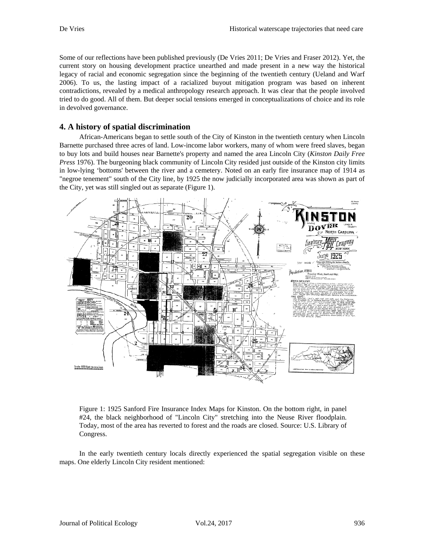Some of our reflections have been published previously (De Vries 2011; De Vries and Fraser 2012). Yet, the current story on housing development practice unearthed and made present in a new way the historical legacy of racial and economic segregation since the beginning of the twentieth century (Ueland and Warf 2006). To us, the lasting impact of a racialized buyout mitigation program was based on inherent contradictions, revealed by a medical anthropology research approach. It was clear that the people involved tried to do good. All of them. But deeper social tensions emerged in conceptualizations of choice and its role in devolved governance.

#### **4. A history of spatial discrimination**

African-Americans began to settle south of the City of Kinston in the twentieth century when Lincoln Barnette purchased three acres of land. Low-income labor workers, many of whom were freed slaves, began to buy lots and build houses near Barnette's property and named the area Lincoln City (*Kinston Daily Free Press* 1976). The burgeoning black community of Lincoln City resided just outside of the Kinston city limits in low-lying 'bottoms' between the river and a cemetery. Noted on an early fire insurance map of 1914 as "negroe tenement" south of the City line, by 1925 the now judicially incorporated area was shown as part of the City, yet was still singled out as separate (Figure 1).



Figure 1: 1925 Sanford Fire Insurance Index Maps for Kinston. On the bottom right, in panel #24, the black neighborhood of "Lincoln City" stretching into the Neuse River floodplain. Today, most of the area has reverted to forest and the roads are closed. Source: U.S. Library of Congress.

In the early twentieth century locals directly experienced the spatial segregation visible on these maps. One elderly Lincoln City resident mentioned: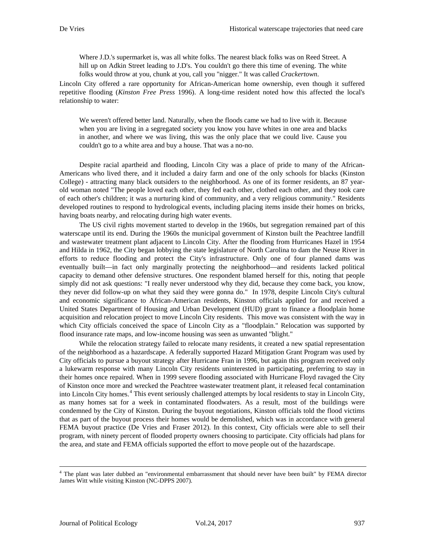Where J.D.'s supermarket is, was all white folks. The nearest black folks was on Reed Street. A hill up on Adkin Street leading to J.D's. You couldn't go there this time of evening. The white folks would throw at you, chunk at you, call you "nigger." It was called *Crackertown*.

Lincoln City offered a rare opportunity for African-American home ownership, even though it suffered repetitive flooding (*Kinston Free Press* 1996). A long-time resident noted how this affected the local's relationship to water:

We weren't offered better land. Naturally, when the floods came we had to live with it. Because when you are living in a segregated society you know you have whites in one area and blacks in another, and where we was living, this was the only place that we could live. Cause you couldn't go to a white area and buy a house. That was a no-no.

Despite racial apartheid and flooding, Lincoln City was a place of pride to many of the African-Americans who lived there, and it included a dairy farm and one of the only schools for blacks (Kinston College) - attracting many black outsiders to the neighborhood. As one of its former residents, an 87 yearold woman noted "The people loved each other, they fed each other, clothed each other, and they took care of each other's children; it was a nurturing kind of community, and a very religious community." Residents developed routines to respond to hydrological events, including placing items inside their homes on bricks, having boats nearby, and relocating during high water events.

The US civil rights movement started to develop in the 1960s, but segregation remained part of this waterscape until its end. During the 1960s the municipal government of Kinston built the Peachtree landfill and wastewater treatment plant adjacent to Lincoln City. After the flooding from Hurricanes Hazel in 1954 and Hilda in 1962, the City began lobbying the state legislature of North Carolina to dam the Neuse River in efforts to reduce flooding and protect the City's infrastructure. Only one of four planned dams was eventually built—in fact only marginally protecting the neighborhood—and residents lacked political capacity to demand other defensive structures. One respondent blamed herself for this, noting that people simply did not ask questions: "I really never understood why they did, because they come back, you know, they never did follow-up on what they said they were gonna do." In 1978, despite Lincoln City's cultural and economic significance to African-American residents, Kinston officials applied for and received a United States Department of Housing and Urban Development (HUD) grant to finance a floodplain home acquisition and relocation project to move Lincoln City residents. This move was consistent with the way in which City officials conceived the space of Lincoln City as a "floodplain." Relocation was supported by flood insurance rate maps, and low-income housing was seen as unwanted "blight."

While the relocation strategy failed to relocate many residents, it created a new spatial representation of the neighborhood as a hazardscape. A federally supported Hazard Mitigation Grant Program was used by City officials to pursue a buyout strategy after Hurricane Fran in 1996, but again this program received only a lukewarm response with many Lincoln City residents uninterested in participating, preferring to stay in their homes once repaired. When in 1999 severe flooding associated with Hurricane Floyd ravaged the City of Kinston once more and wrecked the Peachtree wastewater treatment plant, it released fecal contamination into Lincoln City homes. [4](#page-7-0) This event seriously challenged attempts by local residents to stay in Lincoln City, as many homes sat for a week in contaminated floodwaters. As a result, most of the buildings were condemned by the City of Kinston. During the buyout negotiations, Kinston officials told the flood victims that as part of the buyout process their homes would be demolished, which was in accordance with general FEMA buyout practice (De Vries and Fraser 2012). In this context, City officials were able to sell their program, with ninety percent of flooded property owners choosing to participate. City officials had plans for the area, and state and FEMA officials supported the effort to move people out of the hazardscape.

 $\overline{a}$ 

<span id="page-7-0"></span><sup>&</sup>lt;sup>4</sup> The plant was later dubbed an "environmental embarrassment that should never have been built" by FEMA director James Witt while visiting Kinston (NC-DPPS 2007).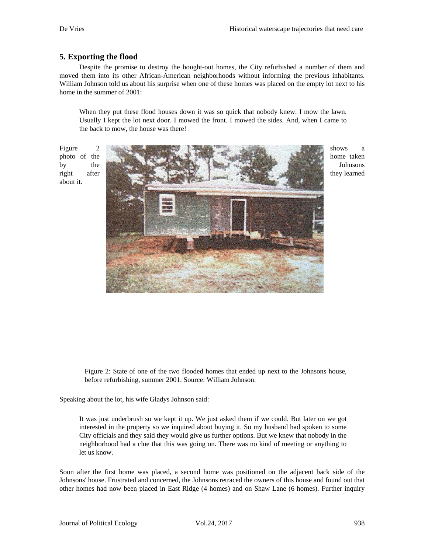### **5. Exporting the flood**

Despite the promise to destroy the bought-out homes, the City refurbished a number of them and moved them into its other African-American neighborhoods without informing the previous inhabitants. William Johnson told us about his surprise when one of these homes was placed on the empty lot next to his home in the summer of 2001:

When they put these flood houses down it was so quick that nobody knew. I mow the lawn. Usually I kept the lot next door. I mowed the front. I mowed the sides. And, when I came to the back to mow, the house was there!

about it.



Figure 2: State of one of the two flooded homes that ended up next to the Johnsons house, before refurbishing, summer 2001. Source: William Johnson.

Speaking about the lot, his wife Gladys Johnson said:

It was just underbrush so we kept it up. We just asked them if we could. But later on we got interested in the property so we inquired about buying it. So my husband had spoken to some City officials and they said they would give us further options. But we knew that nobody in the neighborhood had a clue that this was going on. There was no kind of meeting or anything to let us know.

Soon after the first home was placed, a second home was positioned on the adjacent back side of the Johnsons' house. Frustrated and concerned, the Johnsons retraced the owners of this house and found out that other homes had now been placed in East Ridge (4 homes) and on Shaw Lane (6 homes). Further inquiry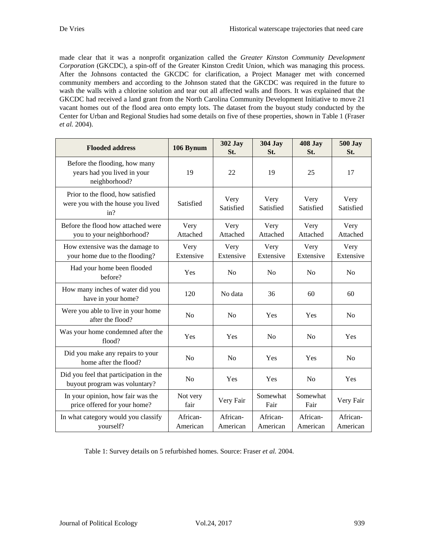made clear that it was a nonprofit organization called the *Greater Kinston Community Development Corporation* (GKCDC), a spin-off of the Greater Kinston Credit Union, which was managing this process. After the Johnsons contacted the GKCDC for clarification, a Project Manager met with concerned community members and according to the Johnson stated that the GKCDC was required in the future to wash the walls with a chlorine solution and tear out all affected walls and floors. It was explained that the GKCDC had received a land grant from the North Carolina Community Development Initiative to move 21 vacant homes out of the flood area onto empty lots. The dataset from the buyout study conducted by the Center for Urban and Regional Studies had some details on five of these properties, shown in Table 1 (Fraser *et al.* 2004).

| <b>Flooded address</b>                                                        | 106 Bynum            | <b>302 Jay</b><br>St. | <b>304 Jay</b><br>St. | $408$ Jay<br>St.     | <b>500 Jay</b><br>St. |
|-------------------------------------------------------------------------------|----------------------|-----------------------|-----------------------|----------------------|-----------------------|
| Before the flooding, how many<br>years had you lived in your<br>neighborhood? | 19                   | 22                    | 19                    | 25                   | 17                    |
| Prior to the flood, how satisfied<br>were you with the house you lived<br>in? | Satisfied            | Very<br>Satisfied     | Very<br>Satisfied     | Very<br>Satisfied    | Very<br>Satisfied     |
| Before the flood how attached were<br>you to your neighborhood?               | Very<br>Attached     | Very<br>Attached      | Very<br>Attached      | Very<br>Attached     | Very<br>Attached      |
| How extensive was the damage to<br>your home due to the flooding?             | Very<br>Extensive    | Very<br>Extensive     | Very<br>Extensive     | Very<br>Extensive    | Very<br>Extensive     |
| Had your home been flooded<br>before?                                         | Yes                  | N <sub>o</sub>        | N <sub>o</sub>        | N <sub>o</sub>       | N <sub>o</sub>        |
| How many inches of water did you<br>have in your home?                        | 120                  | No data               | 36                    | 60                   | 60                    |
| Were you able to live in your home<br>after the flood?                        | No                   | No                    | Yes                   | Yes                  | $\rm No$              |
| Was your home condemned after the<br>flood?                                   | Yes                  | Yes                   | N <sub>o</sub>        | N <sub>o</sub>       | Yes                   |
| Did you make any repairs to your<br>home after the flood?                     | N <sub>o</sub>       | N <sub>o</sub>        | Yes                   | Yes                  | N <sub>o</sub>        |
| Did you feel that participation in the<br>buyout program was voluntary?       | N <sub>0</sub>       | Yes                   | Yes                   | No                   | Yes                   |
| In your opinion, how fair was the<br>price offered for your home?             | Not very<br>fair     | Very Fair             | Somewhat<br>Fair      | Somewhat<br>Fair     | Very Fair             |
| In what category would you classify<br>yourself?                              | African-<br>American | African-<br>American  | African-<br>American  | African-<br>American | African-<br>American  |

Table 1: Survey details on 5 refurbished homes. Source: Fraser *et al.* 2004.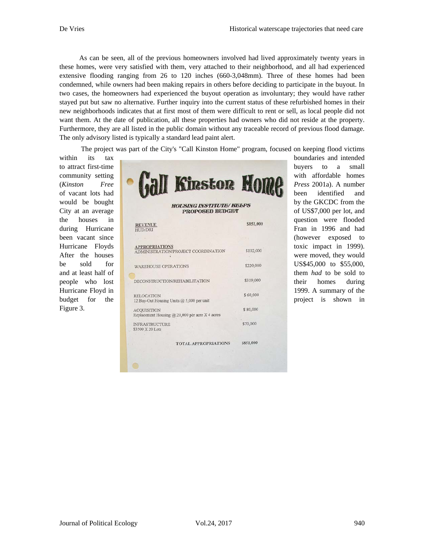As can be seen, all of the previous homeowners involved had lived approximately twenty years in these homes, were very satisfied with them, very attached to their neighborhood, and all had experienced extensive flooding ranging from 26 to 120 inches (660-3,048mm). Three of these homes had been condemned, while owners had been making repairs in others before deciding to participate in the buyout. In two cases, the homeowners had experienced the buyout operation as involuntary; they would have rather stayed put but saw no alternative. Further inquiry into the current status of these refurbished homes in their new neighborhoods indicates that at first most of them were difficult to rent or sell, as local people did not want them. At the date of publication, all these properties had owners who did not reside at the property. Furthermore, they are all listed in the public domain without any traceable record of previous flood damage. The only advisory listed is typically a standard lead paint alert.

The project was part of the City's "Call Kinston Home" program, focused on keeping flood victims

| within<br>its<br>tax       |                                                                       |                           | boundaries and intended       |
|----------------------------|-----------------------------------------------------------------------|---------------------------|-------------------------------|
| to attract first-time      |                                                                       |                           | small<br>buyers<br>to<br>a    |
| community setting          |                                                                       |                           | with affordable homes         |
| ( <i>Kinston</i> )<br>Free | <b>Kinston No</b>                                                     |                           | Press 2001a). A number        |
| of vacant lots had         |                                                                       |                           | identified<br>and<br>been     |
| would be bought            | <b>HOUSING INSTITUTE/ HELPS</b>                                       | by the GKCDC from the     |                               |
| City at an average         | PROPOSED BUDGET                                                       | of US\$7,000 per lot, and |                               |
| houses<br>in<br>the        |                                                                       | \$851,000                 | question were flooded         |
| during Hurricane           | <b>REVENUE</b><br>HUD/DRI                                             |                           | Fran in 1996 and had          |
| been vacant since          |                                                                       |                           | (however exposed to           |
| Hurricane Floyds           | <b>APPROPRIATIONS</b>                                                 | \$102,000                 | toxic impact in 1999).        |
| After the houses           | ADMINISTRATION/PROJECT COORDINATION                                   |                           | were moved, they would        |
| for<br>sold<br>be          | <b>WAREHOUSE OPERATIONS</b>                                           | \$220,000                 | US\$45,000 to \$55,000,       |
| and at least half of       |                                                                       |                           | them <i>had</i> to be sold to |
| people who lost            | DECONSTRUCTION/REHABILITATION                                         | \$319,000                 | their<br>homes<br>during      |
| Hurricane Floyd in         |                                                                       | \$60,000                  | 1999. A summary of the        |
| budget<br>for<br>the       | <b>RELOCATION</b><br>12 Buy-Out Housing Units @ 5,000 per unit        |                           | project is shown in           |
| Figure 3.                  | <b>ACQUISITION</b><br>Replacement Housing @ 20,000 per acre X 4 acres | \$80,000                  |                               |
|                            | <b>INFRASTRUCTURE</b><br>\$3500 X 20 Lots                             | \$70,000                  |                               |
|                            | <b>TOTAL APPROPRIATIONS</b>                                           | \$851,000                 |                               |
|                            |                                                                       |                           |                               |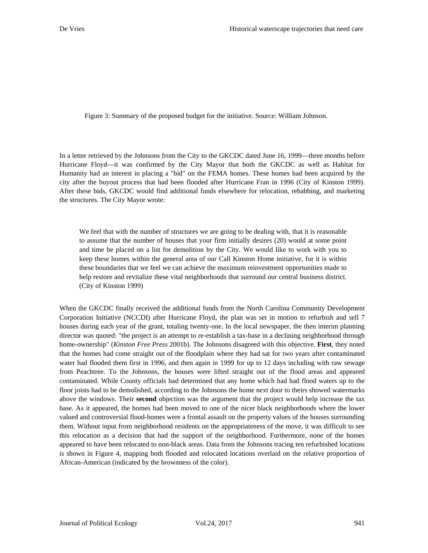Figure 3: Summary of the proposed budget for the initiative. Source: William Johnson.

In a letter retrieved by the Johnsons from the City to the GKCDC dated June 16, 1999—three months before Hurricane Floyd—it was confirmed by the City Mayor that both the GKCDC as well as Habitat for Humanity had an interest in placing a "bid" on the FEMA homes. These homes had been acquired by the city after the buyout process that had been flooded after Hurricane Fran in 1996 (City of Kinston 1999). After these bids, GKCDC would find additional funds elsewhere for relocation, rehabbing, and marketing the structures. The City Mayor wrote:

We feel that with the number of structures we are going to be dealing with, that it is reasonable to assume that the number of houses that your firm initially desires (20) would at some point and time be placed on a list for demolition by the City. We would like to work with you to keep these homes within the general area of our Call Kinston Home initiative, for it is within these boundaries that we feel we can achieve the maximum reinvestment opportunities made to help restore and revitalize these vital neighborhoods that surround our central business district. (City of Kinston 1999)

When the GKCDC finally received the additional funds from the North Carolina Community Development Corporation Initiative (NCCDI) after Hurricane Floyd, the plan was set in motion to refurbish and sell 7 houses during each year of the grant, totaling twenty-one. In the local newspaper, the then interim planning director was quoted: "the project is an attempt to re-establish a tax-base in a declining neighborhood through home-ownership" (*Kinston Free Press* 2001b). The Johnsons disagreed with this objective. **First**, they noted that the homes had come straight out of the floodplain where they had sat for two years after contaminated water had flooded them first in 1996, and then again in 1999 for up to 12 days including with raw sewage from Peachtree. To the Johnsons, the houses were lifted straight out of the flood areas and appeared contaminated. While County officials had determined that any home which had had flood waters up to the floor joists had to be demolished, according to the Johnsons the home next door to theirs showed watermarks above the windows. Their **second** objection was the argument that the project would help increase the tax base. As it appeared, the homes had been moved to one of the nicer black neighborhoods where the lower valued and controversial flood-homes were a frontal assault on the property values of the houses surrounding them. Without input from neighborhood residents on the appropriateness of the move, it was difficult to see this relocation as a decision that had the support of the neighborhood. Furthermore, *none* of the homes appeared to have been relocated to non-black areas. Data from the Johnsons tracing ten refurbished locations is shown in Figure 4, mapping both flooded and relocated locations overlaid on the relative proportion of African-American (indicated by the brownness of the color).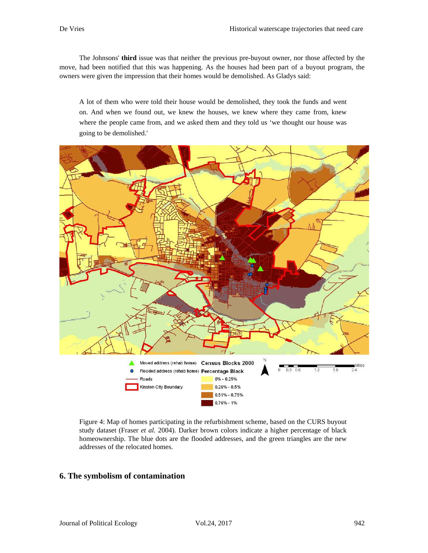The Johnsons' **third** issue was that neither the previous pre-buyout owner, nor those affected by the move, had been notified that this was happening. As the houses had been part of a buyout program, the owners were given the impression that their homes would be demolished. As Gladys said:

A lot of them who were told their house would be demolished, they took the funds and went on. And when we found out, we knew the houses, we knew where they came from, knew where the people came from, and we asked them and they told us 'we thought our house was going to be demolished.'



Figure 4: Map of homes participating in the refurbishment scheme, based on the CURS buyout study dataset (Fraser *et al.* 2004). Darker brown colors indicate a higher percentage of black homeownership. The blue dots are the flooded addresses, and the green triangles are the new addresses of the relocated homes.

### **6. The symbolism of contamination**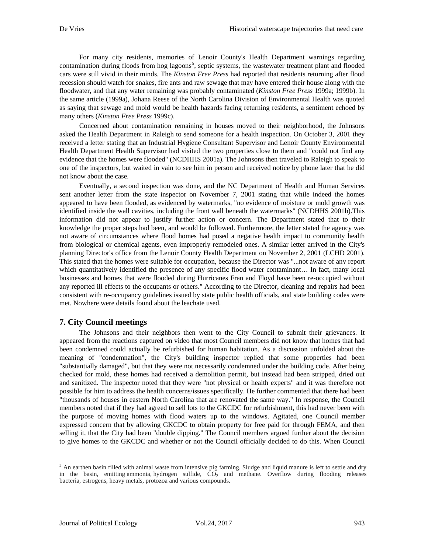For many city residents, memories of Lenoir County's Health Department warnings regarding contamination during floods from hog lagoons<sup>[5](#page-13-0)</sup>, septic systems, the wastewater treatment plant and flooded cars were still vivid in their minds. The *Kinston Free Press* had reported that residents returning after flood recession should watch for snakes, fire ants and raw sewage that may have entered their house along with the floodwater, and that any water remaining was probably contaminated (*Kinston Free Press* 1999a; 1999b). In the same article (1999a), Johana Reese of the North Carolina Division of Environmental Health was quoted as saying that sewage and mold would be health hazards facing returning residents, a sentiment echoed by many others (*Kinston Free Press* 1999c).

Concerned about contamination remaining in houses moved to their neighborhood, the Johnsons asked the Health Department in Raleigh to send someone for a health inspection. On October 3, 2001 they received a letter stating that an Industrial Hygiene Consultant Supervisor and Lenoir County Environmental Health Department Health Supervisor had visited the two properties close to them and "could not find any evidence that the homes were flooded" (NCDHHS 2001a). The Johnsons then traveled to Raleigh to speak to one of the inspectors, but waited in vain to see him in person and received notice by phone later that he did not know about the case.

Eventually, a second inspection was done, and the NC Department of Health and Human Services sent another letter from the state inspector on November 7, 2001 stating that while indeed the homes appeared to have been flooded, as evidenced by watermarks, "no evidence of moisture or mold growth was identified inside the wall cavities, including the front wall beneath the watermarks" (NCDHHS 2001b).This information did not appear to justify further action or concern. The Department stated that to their knowledge the proper steps had been, and would be followed. Furthermore, the letter stated the agency was not aware of circumstances where flood homes had posed a negative health impact to community health from biological or chemical agents, even improperly remodeled ones. A similar letter arrived in the City's planning Director's office from the Lenoir County Health Department on November 2, 2001 (LCHD 2001). This stated that the homes were suitable for occupation, because the Director was "...not aware of any report which quantitatively identified the presence of any specific flood water contaminant... In fact, many local businesses and homes that were flooded during Hurricanes Fran and Floyd have been re-occupied without any reported ill effects to the occupants or others." According to the Director, cleaning and repairs had been consistent with re-occupancy guidelines issued by state public health officials, and state building codes were met. Nowhere were details found about the leachate used.

#### **7. City Council meetings**

The Johnsons and their neighbors then went to the City Council to submit their grievances. It appeared from the reactions captured on video that most Council members did not know that homes that had been condemned could actually be refurbished for human habitation. As a discussion unfolded about the meaning of "condemnation", the City's building inspector replied that some properties had been "substantially damaged", but that they were not necessarily condemned under the building code. After being checked for mold, these homes had received a demolition permit, but instead had been stripped, dried out and sanitized. The inspector noted that they were "not physical or health experts" and it was therefore not possible for him to address the health concerns/issues specifically. He further commented that there had been "thousands of houses in eastern North Carolina that are renovated the same way." In response, the Council members noted that if they had agreed to sell lots to the GKCDC for refurbishment, this had never been with the purpose of moving homes with flood waters up to the windows. Agitated, one Council member expressed concern that by allowing GKCDC to obtain property for free paid for through FEMA, and then selling it, that the City had been "double dipping." The Council members argued further about the decision to give homes to the GKCDC and whether or not the Council officially decided to do this. When Council

**.** 

<span id="page-13-0"></span><sup>&</sup>lt;sup>5</sup> An earthen basin filled with animal waste from intensive pig farming. Sludge and liquid manure is left to settle and dry in the basin, emitting ammonia, hydrogen sulfide, CO<sub>2</sub> and methane. Overflow during flooding releases bacteria, estrogens, heavy metals, protozoa and various compounds.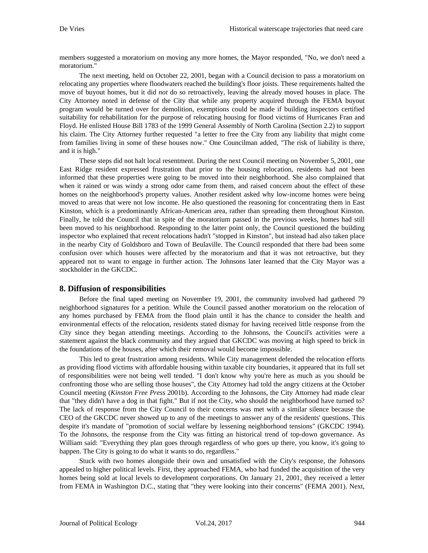members suggested a moratorium on moving any more homes, the Mayor responded, "No, we don't need a moratorium."

The next meeting, held on October 22, 2001, began with a Council decision to pass a moratorium on relocating any properties where floodwaters reached the building's floor joists. These requirements halted the move of buyout homes, but it did *not* do so retroactively, leaving the already moved houses in place. The City Attorney noted in defense of the City that while any property acquired through the FEMA buyout program would be turned over for demolition, exemptions could be made if building inspectors certified suitability for rehabilitation for the purpose of relocating housing for flood victims of Hurricanes Fran and Floyd. He enlisted House Bill 1783 of the 1999 General Assembly of North Carolina (Section 2.2) to support his claim. The City Attorney further requested "a letter to free the City from any liability that might come from families living in some of these houses now." One Councilman added, "The risk of liability is there, and it is high."

These steps did not halt local resentment. During the next Council meeting on November 5, 2001, one East Ridge resident expressed frustration that prior to the housing relocation, residents had not been informed that these properties were going to be moved into their neighborhood. She also complained that when it rained or was windy a strong odor came from them, and raised concern about the effect of these homes on the neighborhood's property values. Another resident asked why low-income homes were being moved to areas that were not low income. He also questioned the reasoning for concentrating them in East Kinston, which is a predominantly African-American area, rather than spreading them throughout Kinston. Finally, he told the Council that in spite of the moratorium passed in the previous weeks, homes had still been moved to his neighborhood. Responding to the latter point only, the Council questioned the building inspector who explained that recent relocations hadn't "stopped in Kinston", but instead had also taken place in the nearby City of Goldsboro and Town of Beulaville. The Council responded that there had been some confusion over which houses were affected by the moratorium and that it was not retroactive, but they appeared not to want to engage in further action. The Johnsons later learned that the City Mayor was a stockholder in the GKCDC.

#### **8. Diffusion of responsibilities**

Before the final taped meeting on November 19, 2001, the community involved had gathered 79 neighborhood signatures for a petition. While the Council passed another moratorium on the relocation of any homes purchased by FEMA from the flood plain until it has the chance to consider the health and environmental effects of the relocation, residents stated dismay for having received little response from the City since they began attending meetings. According to the Johnsons, the Council's activities were a statement against the black community and they argued that GKCDC was moving at high speed to brick in the foundations of the houses, after which their removal would become impossible.

This led to great frustration among residents. While City management defended the relocation efforts as providing flood victims with affordable housing within taxable city boundaries, it appeared that its full set of responsibilities were not being well tended. "I don't know why you're here as much as you should be confronting those who are selling those houses", the City Attorney had told the angry citizens at the October Council meeting (*Kinston Free Press* 2001b). According to the Johnsons, the City Attorney had made clear that "they didn't have a dog in that fight." But if not the City, who should the neighborhood have turned to? The lack of response from the City Council to their concerns was met with a similar silence because the CEO of the GKCDC never showed up to any of the meetings to answer any of the residents' questions. This despite it's mandate of "promotion of social welfare by lessening neighborhood tensions" (GKCDC 1994). To the Johnsons, the response from the City was fitting an historical trend of top-down governance. As William said: "Everything they plan goes through regardless of who goes up there, you know, it's going to happen. The City is going to do what it wants to do, regardless."

Stuck with two homes alongside their own and unsatisfied with the City's response, the Johnsons appealed to higher political levels. First, they approached FEMA, who had funded the acquisition of the very homes being sold at local levels to development corporations. On January 21, 2001, they received a letter from FEMA in Washington D.C., stating that "they were looking into their concerns" (FEMA 2001). Next,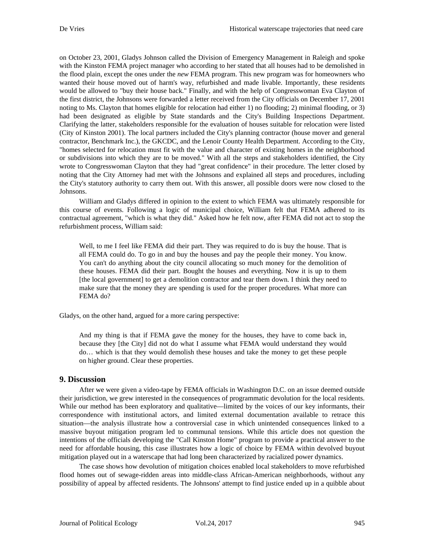on October 23, 2001, Gladys Johnson called the Division of Emergency Management in Raleigh and spoke with the Kinston FEMA project manager who according to her stated that all houses had to be demolished in the flood plain, except the ones under the *new* FEMA program. This new program was for homeowners who wanted their house moved out of harm's way, refurbished and made livable. Importantly, these residents would be allowed to "buy their house back." Finally, and with the help of Congresswoman Eva Clayton of the first district, the Johnsons were forwarded a letter received from the City officials on December 17, 2001 noting to Ms. Clayton that homes eligible for relocation had either 1) no flooding; 2) minimal flooding, or 3) had been designated as eligible by State standards and the City's Building Inspections Department. Clarifying the latter, stakeholders responsible for the evaluation of houses suitable for relocation were listed (City of Kinston 2001). The local partners included the City's planning contractor (house mover and general contractor, Benchmark Inc.), the GKCDC, and the Lenoir County Health Department. According to the City, "homes selected for relocation must fit with the value and character of existing homes in the neighborhood or subdivisions into which they are to be moved." With all the steps and stakeholders identified, the City wrote to Congresswoman Clayton that they had "great confidence" in their procedure. The letter closed by noting that the City Attorney had met with the Johnsons and explained all steps and procedures, including the City's statutory authority to carry them out. With this answer, all possible doors were now closed to the Johnsons.

William and Gladys differed in opinion to the extent to which FEMA was ultimately responsible for this course of events. Following a logic of municipal choice, William felt that FEMA adhered to its contractual agreement, "which is what they did." Asked how he felt now, after FEMA did not act to stop the refurbishment process, William said:

Well, to me I feel like FEMA did their part. They was required to do is buy the house. That is all FEMA could do. To go in and buy the houses and pay the people their money. You know. You can't do anything about the city council allocating so much money for the demolition of these houses. FEMA did their part. Bought the houses and everything. Now it is up to them [the local government] to get a demolition contractor and tear them down. I think they need to make sure that the money they are spending is used for the proper procedures. What more can FEMA do?

Gladys, on the other hand, argued for a more caring perspective:

And my thing is that if FEMA gave the money for the houses, they have to come back in, because they [the City] did not do what I assume what FEMA would understand they would do… which is that they would demolish these houses and take the money to get these people on higher ground. Clear these properties.

#### **9. Discussion**

After we were given a video-tape by FEMA officials in Washington D.C. on an issue deemed outside their jurisdiction, we grew interested in the consequences of programmatic devolution for the local residents. While our method has been exploratory and qualitative—limited by the voices of our key informants, their correspondence with institutional actors, and limited external documentation available to retrace this situation—the analysis illustrate how a controversial case in which unintended consequences linked to a massive buyout mitigation program led to communal tensions. While this article does not question the intentions of the officials developing the "Call Kinston Home" program to provide a practical answer to the need for affordable housing, this case illustrates how a logic of choice by FEMA within devolved buyout mitigation played out in a waterscape that had long been characterized by racialized power dynamics.

The case shows how devolution of mitigation choices enabled local stakeholders to move refurbished flood homes out of sewage-ridden areas into middle-class African-American neighborhoods, without any possibility of appeal by affected residents. The Johnsons' attempt to find justice ended up in a quibble about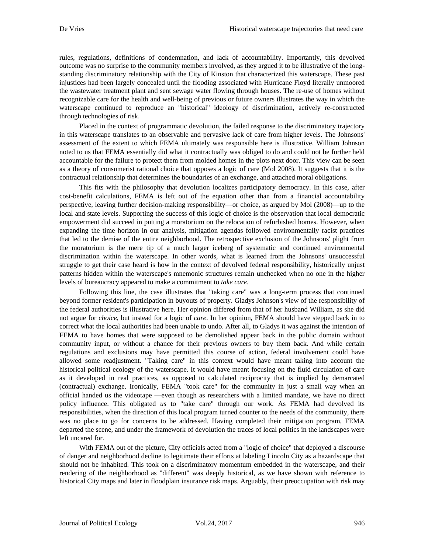rules, regulations, definitions of condemnation, and lack of accountability. Importantly, this devolved outcome was no surprise to the community members involved, as they argued it to be illustrative of the longstanding discriminatory relationship with the City of Kinston that characterized this waterscape. These past injustices had been largely concealed until the flooding associated with Hurricane Floyd literally unmoored the wastewater treatment plant and sent sewage water flowing through houses. The re-use of homes without recognizable care for the health and well-being of previous or future owners illustrates the way in which the waterscape continued to reproduce an "historical" ideology of discrimination, actively re-constructed through technologies of risk.

Placed in the context of programmatic devolution, the failed response to the discriminatory trajectory in this waterscape translates to an observable and pervasive lack of care from higher levels. The Johnsons' assessment of the extent to which FEMA ultimately was responsible here is illustrative. William Johnson noted to us that FEMA essentially did what it contractually was obliged to do and could not be further held accountable for the failure to protect them from molded homes in the plots next door. This view can be seen as a theory of consumerist rational choice that opposes a logic of care (Mol 2008). It suggests that it is the contractual relationship that determines the boundaries of an exchange, and attached moral obligations.

This fits with the philosophy that devolution localizes participatory democracy. In this case, after cost-benefit calculations, FEMA is left out of the equation other than from a financial accountability perspective, leaving further decision-making responsibility—or choice, as argued by Mol (2008)—up to the local and state levels. Supporting the success of this logic of choice is the observation that local democratic empowerment did succeed in putting a moratorium on the relocation of refurbished homes. However, when expanding the time horizon in our analysis, mitigation agendas followed environmentally racist practices that led to the demise of the entire neighborhood. The retrospective exclusion of the Johnsons' plight from the moratorium is the mere tip of a much larger iceberg of systematic and continued environmental discrimination within the waterscape. In other words, what is learned from the Johnsons' unsuccessful struggle to get their case heard is how in the context of devolved federal responsibility, historically unjust patterns hidden within the waterscape's mnemonic structures remain unchecked when no one in the higher levels of bureaucracy appeared to make a commitment to *take care*.

Following this line, the case illustrates that "taking care" was a long-term process that continued beyond former resident's participation in buyouts of property. Gladys Johnson's view of the responsibility of the federal authorities is illustrative here. Her opinion differed from that of her husband William, as she did not argue for *choice*, but instead for a logic of *care*. In her opinion, FEMA should have stepped back in to correct what the local authorities had been unable to undo. After all, to Gladys it was against the intention of FEMA to have homes that were supposed to be demolished appear back in the public domain without community input, or without a chance for their previous owners to buy them back. And while certain regulations and exclusions may have permitted this course of action, federal involvement could have allowed some readjustment. "Taking care" in this context would have meant taking into account the historical political ecology of the waterscape. It would have meant focusing on the fluid circulation of care as it developed in real practices, as opposed to calculated reciprocity that is implied by demarcated (contractual) exchange. Ironically, FEMA "took care" for the community in just a small way when an official handed us the videotape —even though as researchers with a limited mandate, we have no direct policy influence. This obligated *us* to "take care" through our work. As FEMA had devolved its responsibilities, when the direction of this local program turned counter to the needs of the community, there was no place to go for concerns to be addressed. Having completed their mitigation program, FEMA departed the scene, and under the framework of devolution the traces of local politics in the landscapes were left uncared for.

With FEMA out of the picture, City officials acted from a "logic of choice" that deployed a discourse of danger and neighborhood decline to legitimate their efforts at labeling Lincoln City as a hazardscape that should not be inhabited. This took on a discriminatory momentum embedded in the waterscape, and their rendering of the neighborhood as "different" was deeply historical, as we have shown with reference to historical City maps and later in floodplain insurance risk maps. Arguably, their preoccupation with risk may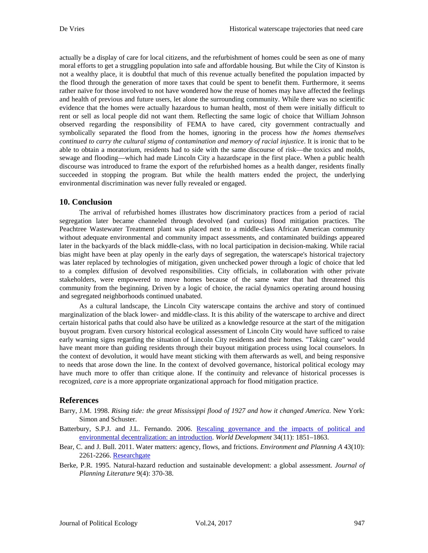actually be a display of care for local citizens, and the refurbishment of homes could be seen as one of many moral efforts to get a struggling population into safe and affordable housing. But while the City of Kinston is not a wealthy place, it is doubtful that much of this revenue actually benefited the population impacted by the flood through the generation of more taxes that could be spent to benefit them. Furthermore, it seems rather naïve for those involved to not have wondered how the reuse of homes may have affected the feelings and health of previous and future users, let alone the surrounding community. While there was no scientific evidence that the homes were actually hazardous to human health, most of them were initially difficult to rent or sell as local people did not want them. Reflecting the same logic of choice that William Johnson observed regarding the responsibility of FEMA to have cared, city government contractually and symbolically separated the flood from the homes, ignoring in the process how *the homes themselves continued to carry the cultural stigma of contamination and memory of racial injustice*. It is ironic that to be able to obtain a moratorium, residents had to side with the same discourse of risk—the toxics and molds, sewage and flooding—which had made Lincoln City a hazardscape in the first place. When a public health discourse was introduced to frame the export of the refurbished homes as a health danger, residents finally succeeded in stopping the program. But while the health matters ended the project, the underlying environmental discrimination was never fully revealed or engaged.

#### **10. Conclusion**

The arrival of refurbished homes illustrates how discriminatory practices from a period of racial segregation later became channeled through devolved (and curious) flood mitigation practices. The Peachtree Wastewater Treatment plant was placed next to a middle-class African American community without adequate environmental and community impact assessments, and contaminated buildings appeared later in the backyards of the black middle-class, with no local participation in decision-making. While racial bias might have been at play openly in the early days of segregation, the waterscape's historical trajectory was later replaced by technologies of mitigation, given unchecked power through a logic of choice that led to a complex diffusion of devolved responsibilities. City officials, in collaboration with other private stakeholders, were empowered to move homes because of the same water that had threatened this community from the beginning. Driven by a logic of choice, the racial dynamics operating around housing and segregated neighborhoods continued unabated.

As a cultural landscape, the Lincoln City waterscape contains the archive and story of continued marginalization of the black lower- and middle-class. It is this ability of the waterscape to archive and direct certain historical paths that could also have be utilized as a knowledge resource at the start of the mitigation buyout program. Even cursory historical ecological assessment of Lincoln City would have sufficed to raise early warning signs regarding the situation of Lincoln City residents and their homes. "Taking care" would have meant more than guiding residents through their buyout mitigation process using local counselors. In the context of devolution, it would have meant sticking with them afterwards as well, and being responsive to needs that arose down the line. In the context of devolved governance, historical political ecology may have much more to offer than critique alone. If the continuity and relevance of historical processes is recognized, *care* is a more appropriate organizational approach for flood mitigation practice.

#### **References**

- Barry, J.M. 1998. *Rising tide: the great Mississippi flood of 1927 and how it changed America*. New York: Simon and Schuster.
- Batterbury, S.P.J. and J.L. Fernando. 2006. [Rescaling governance and the impacts of political and](http://simonbatterbury.net/pubs/introwd.htm)  [environmental decentralization: an introduction.](http://simonbatterbury.net/pubs/introwd.htm) *World Development* 34(11): 1851–1863.
- Bear, C. and J. Bull. 2011. Water matters: agency, flows, and frictions. *Environment and Planning A* 43(10): 2261-2266. [Researchgate](https://www.researchgate.net/publication/227472507_Water_matters_agency_flows_and_frictions)
- Berke, P.R. 1995. Natural-hazard reduction and sustainable development: a global assessment. *Journal of Planning Literature* 9(4): 370-38.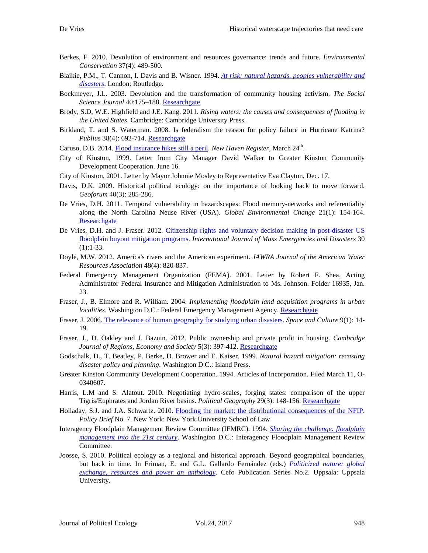- Berkes, F. 2010. Devolution of environment and resources governance: trends and future. *Environmental Conservation* 37(4): 489-500.
- Blaikie, P.M., T. Cannon, I. Davis and B. Wisner. 1994. *[At risk: natural hazards, peoples vulnerability and](http://www.preventionweb.net/files/670_72351.pdf)  [disasters](http://www.preventionweb.net/files/670_72351.pdf)*. London: Routledge.
- Bockmeyer, J.L. 2003. Devolution and the transformation of community housing activism. *The Social Science Journal* 40:175–188. [Researchgate](https://www.researchgate.net/publication/222233688_Devolution_and_the_transformation_of_community_housing_activism)
- Brody, S.D, W.E. Highfield and J.E. Kang. 2011. *Rising waters: the causes and consequences of flooding in the United States*. Cambridge: Cambridge University Press.
- Birkland, T. and S. Waterman. 2008. Is federalism the reason for policy failure in Hurricane Katrina? *Publius* 38(4): 692-714. [Researchgate](https://www.researchgate.net/publication/41373310_Is_Federalism_the_Reason_for_Policy_Failure_in_Hurricane_Katrina)
- Caruso, D.B. 2014. [Flood insurance hikes still a peril.](http://www.nhregister.com/general-news/20140324/us-flood-insurance-hikes-still-a-peril) *New Haven Register*, March 24<sup>th</sup>.
- City of Kinston, 1999. Letter from City Manager David Walker to Greater Kinston Community Development Cooperation. June 16.
- City of Kinston, 2001. Letter by Mayor Johnnie Mosley to Representative Eva Clayton, Dec. 17.
- Davis, D.K. 2009. Historical political ecology: on the importance of looking back to move forward. *Geoforum* 40(3): 285-286.
- De Vries, D.H. 2011. Temporal vulnerability in hazardscapes: Flood memory-networks and referentiality along the North Carolina Neuse River (USA). *Global Environmental Change* 21(1): 154-164. **[Researchgate](https://www.researchgate.net/profile/Daniel_De_Vries/publication/254820779_Temporal_vulnerability_in_hazardscapes_Flood_memory-networks_and_referentiality_along_the_North_Carolina_Neuse_River_USA/links/578375a508ae3f355b4a15a2.pdf)**
- De Vries, D.H. and J. Fraser. 2012. Citizenship rights and voluntary decision making in post-disaster US [floodplain buyout mitigation programs.](http://www.ijmed.org/articles/589/download/) *International Journal of Mass Emergencies and Disasters* 30  $(1):1-33.$
- Doyle, M.W. 2012. America's rivers and the American experiment. *JAWRA Journal of the American Water Resources Association* 48(4): 820-837.
- Federal Emergency Management Organization (FEMA). 2001. Letter by Robert F. Shea, Acting Administrator Federal Insurance and Mitigation Administration to Ms. Johnson. Folder 16935, Jan. 23.
- Fraser, J., B. Elmore and R. William. 2004. *Implementing floodplain land acquisition programs in urban localities*. Washington D.C.: Federal Emergency Management Agency. [Researchgate](https://www.researchgate.net/publication/237546980_Implementing_Floodplain_Land_Acquisition_Programs_in_Urban_Localities)
- Fraser, J. 2006. [The relevance of human geography for studying urban disasters.](https://static1.squarespace.com/static/546e4181e4b041f61f02c55c/t/566c14b457eb8de92a4dc803/1449923764110/Space+and+Culture+fraser.pdf) *Space and Culture* 9(1): 14- 19.
- Fraser, J., D. Oakley and J. Bazuin. 2012. Public ownership and private profit in housing. *Cambridge Journal of Regions, Economy and Society* 5(3): 397-412. [Researchgate](https://www.researchgate.net/publication/235977525_Public_ownership_and_private_profit_in_housing)
- Godschalk, D., T. Beatley, P. Berke, D. Brower and E. Kaiser. 1999. *Natural hazard mitigation: recasting disaster policy and planning*. Washington D.C.: Island Press.
- Greater Kinston Community Development Cooperation. 1994. Articles of Incorporation. Filed March 11, O-0340607.
- Harris, L.M and S. Alatout. 2010. Negotiating hydro-scales, forging states: comparison of the upper Tigris/Euphrates and Jordan River basins. *Political Geography* 29(3): 148-156. [Researchgate](https://www.researchgate.net/publication/223330229_Negotiating_hydro-scales_forging_states_Comparison_of_the_upper_TigrisEuphrates_and_Jordan_River_basins)
- Holladay, S.J. and J.A. Schwartz. 2010. [Flooding the market: the distributional consequences of the NFIP.](http://policyintegrity.org/documents/FloodingtheMarket.pdf)  *Policy Brief* No. 7. New York: New York University School of Law.
- Interagency Floodplain Management Review Committee (IFMRC). 1994. *[Sharing the challenge: floodplain](https://fas.org/irp/agency/dhs/fema/sharing.pdf)  [management into the 21st century](https://fas.org/irp/agency/dhs/fema/sharing.pdf)*. Washington D.C.: Interagency Floodplain Management Review Committee.
- Joosse, S. 2010. Political ecology as a regional and historical approach. Beyond geographical boundaries, but back in time. In Friman, E. and G.L. Gallardo Fernández (eds.) *[Politicized nature: global](http://uu.diva-portal.org/smash/get/diva2:355862/FULLTEXT02)  exchange, resources [and power an anthology](http://uu.diva-portal.org/smash/get/diva2:355862/FULLTEXT02)*. Cefo Publication Series No.2. Uppsala: Uppsala University.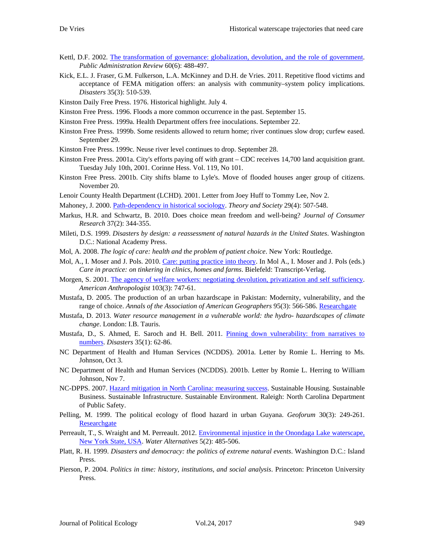- Kettl, D.F. 2002. [The transformation of governance: globalization, devolution, and the role of government.](http://onlinelibrary.wiley.com/doi/10.1111/0033-3352.00112/abstract) *Public Administration Review* 60(6): 488-497.
- Kick, E.L. J. Fraser, G.M. Fulkerson, L.A. McKinney and D.H. de Vries. 2011. Repetitive flood victims and acceptance of FEMA mitigation offers: an analysis with community–system policy implications. *Disasters* 35(3): 510-539.
- Kinston Daily Free Press. 1976. Historical highlight. July 4.
- Kinston Free Press. 1996. Floods a more common occurrence in the past. September 15.
- Kinston Free Press. 1999a. Health Department offers free inoculations. September 22.
- Kinston Free Press. 1999b. Some residents allowed to return home; river continues slow drop; curfew eased. September 29.
- Kinston Free Press. 1999c. Neuse river level continues to drop. September 28.
- Kinston Free Press. 2001a. City's efforts paying off with grant CDC receives 14,700 land acquisition grant. Tuesday July 10th, 2001. Corinne Hess. Vol. 119, No 101.
- Kinston Free Press. 2001b. City shifts blame to Lyle's. Move of flooded houses anger group of citizens. November 20.
- Lenoir County Health Department (LCHD). 2001. Letter from Joey Huff to Tommy Lee, Nov 2.
- Mahoney, J. 2000[. Path-dependency in historical sociology.](http://webarchiv.ethz.ch/soms/teaching/OppFall09/MahoneyPathDependence.pdf) *Theory and Society* 29(4): 507-548.
- Markus, H.R. and Schwartz, B. 2010. Does choice mean freedom and well-being? *Journal of Consumer Research* 37(2): 344-355.
- Mileti, D.S. 1999. *Disasters by design: a reassessment of natural hazards in the United States*. Washington D.C.: National Academy Press.
- Mol, A. 2008. *The logic of care: health and the problem of patient choice*. New York: Routledge.
- Mol, A., I. Moser and J. Pols. 2010. [Care: putting practice into theory.](http://www.beck-shop.de/fachbuch/leseprobe/9783837614473_Excerpt_001.PDF) In Mol A., I. Moser and J. Pols (eds.) *Care in practice: on tinkering in clinics, homes and farms*. Bielefeld: Transcript-Verlag.
- Morgen, S. 2001. [The agency of welfare workers: negotiating devolution, privatization and self sufficiency.](http://onlinelibrary.wiley.com/doi/10.1525/aa.2001.103.3.747/full)  *American Anthropologist* 103(3): 747-61.
- Mustafa, D. 2005. The production of an urban hazardscape in Pakistan: Modernity, vulnerability, and the range of choice. *Annals of the Association of American Geographers* 95(3): 566-586. [Researchgate](https://www.researchgate.net/publication/227916036_The_Production_of_an_Urban_Hazardscape_in_Pakistan_Modernity_Vulnerability_and_the_Range_of_Choice)
- Mustafa, D. 2013. *Water resource management in a vulnerable world: the hydro- hazardscapes of climate change*. London: I.B. Tauris.
- Mustafa, D., S. Ahmed, E. Saroch and H. Bell. 2011. [Pinning down vulnerability: from narratives to](https://www.researchgate.net/file.PostFileLoader.html?id=5423d14ed039b1e9398b4628&assetKey=AS%3A273612382760960%401442245683101)  [numbers.](https://www.researchgate.net/file.PostFileLoader.html?id=5423d14ed039b1e9398b4628&assetKey=AS%3A273612382760960%401442245683101) *Disasters* 35(1): 62-86.
- NC Department of Health and Human Services (NCDDS). 2001a. Letter by Romie L. Herring to Ms. Johnson, Oct 3.
- NC Department of Health and Human Services (NCDDS). 2001b. Letter by Romie L. Herring to William Johnson, Nov 7.
- NC-DPPS. 2007. [Hazard mitigation in North Carolina: measuring success.](http://digital.ncdcr.gov/cdm/ref/collection/p249901coll22/id/638829) Sustainable Housing. Sustainable Business. Sustainable Infrastructure. Sustainable Environment. Raleigh: North Carolina Department of Public Safety.
- Pelling, M. 1999. The political ecology of flood hazard in urban Guyana. *Geoforum* 30(3): 249-261. **[Researchgate](https://www.researchgate.net/publication/222501771_The_political_ecology_of_flood_hazard_in_urban_Guyana)**
- Perreault, T., S. Wraight and M. Perreault. 2012. [Environmental injustice in the](http://www.water-alternatives.org/index.php/volume5/v5issue2/181-a5-2-17/file) Onondaga Lake waterscape, [New York State, USA.](http://www.water-alternatives.org/index.php/volume5/v5issue2/181-a5-2-17/file) *Water Alternatives* 5(2): 485-506.
- Platt, R. H. 1999. *Disasters and democracy: the politics of extreme natural events*. Washington D.C.: Island Press.
- Pierson, P. 2004. *Politics in time: history, institutions, and social analysis*. Princeton: Princeton University Press.